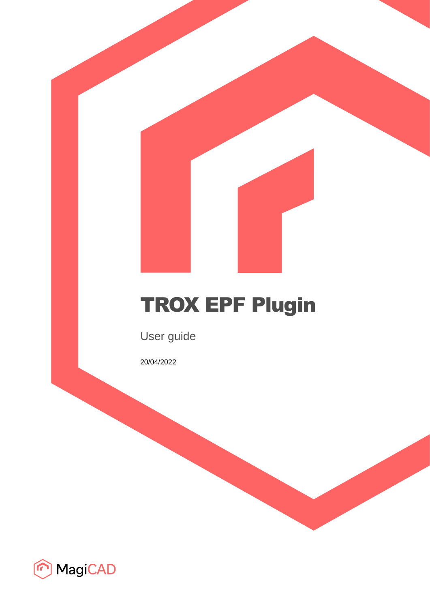# TROX EPF Plugin

User guide

20/04/2022

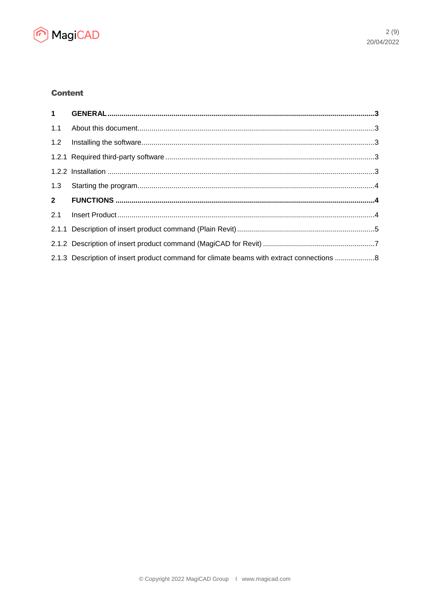

# **Content**

| 1.1 |                                                                                          |  |
|-----|------------------------------------------------------------------------------------------|--|
|     |                                                                                          |  |
|     |                                                                                          |  |
|     |                                                                                          |  |
|     |                                                                                          |  |
|     |                                                                                          |  |
|     |                                                                                          |  |
|     |                                                                                          |  |
|     |                                                                                          |  |
|     | 2.1.3 Description of insert product command for climate beams with extract connections 8 |  |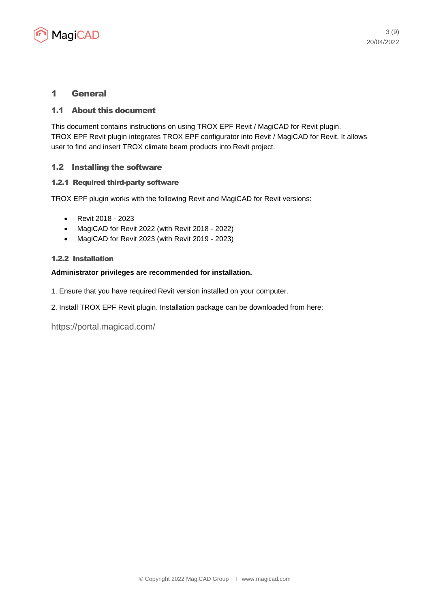

# 1 General

## 1.1 About this document

This document contains instructions on using TROX EPF Revit / MagiCAD for Revit plugin. TROX EPF Revit plugin integrates TROX EPF configurator into Revit / MagiCAD for Revit. It allows user to find and insert TROX climate beam products into Revit project.

## 1.2 Installing the software

#### 1.2.1 Required third-party software

TROX EPF plugin works with the following Revit and MagiCAD for Revit versions:

- Revit 2018 2023
- MagiCAD for Revit 2022 (with Revit 2018 2022)
- MagiCAD for Revit 2023 (with Revit 2019 2023)

#### 1.2.2 Installation

#### **Administrator privileges are recommended for installation.**

- 1. Ensure that you have required Revit version installed on your computer.
- 2. Install TROX EPF Revit plugin. Installation package can be downloaded from here:

<https://portal.magicad.com/>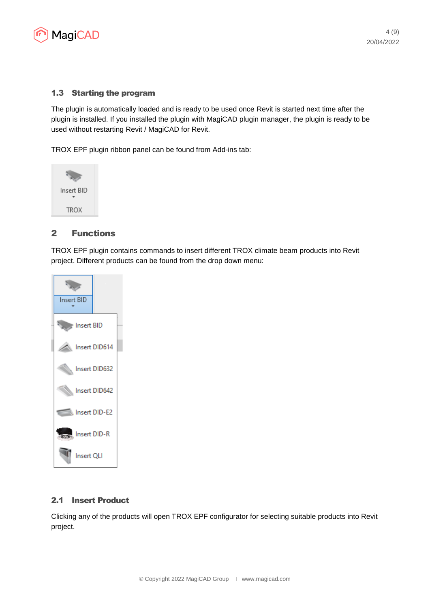

### 1.3 Starting the program

The plugin is automatically loaded and is ready to be used once Revit is started next time after the plugin is installed. If you installed the plugin with MagiCAD plugin manager, the plugin is ready to be used without restarting Revit / MagiCAD for Revit.

TROX EPF plugin ribbon panel can be found from Add-ins tab:



## 2 Functions

TROX EPF plugin contains commands to insert different TROX climate beam products into Revit project. Different products can be found from the drop down menu:



#### 2.1 Insert Product

Clicking any of the products will open TROX EPF configurator for selecting suitable products into Revit project.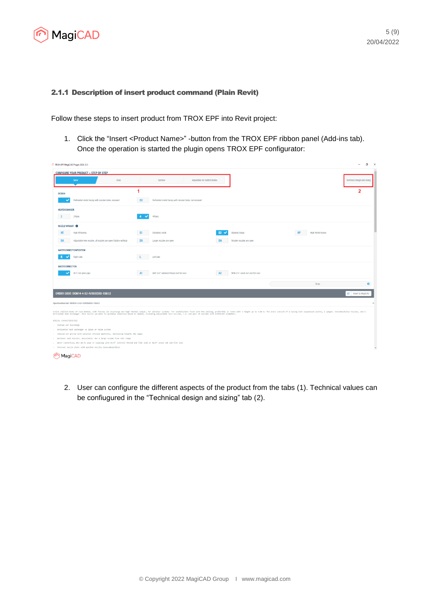

#### 2.1.1 Description of insert product command (Plain Revit)

Follow these steps to insert product from TROX EPF into Revit project:

1. Click the "Insert <Product Name>" -button from the TROX EPF ribbon panel (Add-ins tab). Once the operation is started the plugin opens TROX EPF configurator:

| <b>CONFIGURE YOUR PRODUCT - STEP BY STEP</b><br>Sizes<br>Surface<br>Adjustable air control blades<br>Serio<br><b>DESIGN</b><br>Perforated metal facing with circular holes, encased<br>D <sub>2</sub><br>Perforated metal facing with circular holes, not encased<br>HEATEXCHANGER<br>2Pipes<br>4Pipes<br>NOZZLE VARIANT <sup>6</sup><br><b>High Efficiency</b><br>S1<br>Standard, small<br>Standard large<br><b>High Performance</b><br>$\mathbf{S}$<br>Adjustable twin nozzles, all nozzles are open (factory setting)<br>DA<br>DA<br>Larger nozzles are open<br>DA<br>Smaller nozzles are open<br><b>WATERCONNECTIONPOSITION</b><br>Left side<br>Right side<br><b>WATERCONNECTION</b><br>With G1/2" external thread and flat seal<br>With G1/2" union nut and flat seal<br>@12 mm plain pipe<br>A1<br>A2<br>Sizes<br>ORDER CODE: DID614-4-S2-R/593X593-158/LE<br>Specification text: DID614-4-S2-R/593x593-158/LE |  |  |  | $\overline{\phantom{a}}$    |
|----------------------------------------------------------------------------------------------------------------------------------------------------------------------------------------------------------------------------------------------------------------------------------------------------------------------------------------------------------------------------------------------------------------------------------------------------------------------------------------------------------------------------------------------------------------------------------------------------------------------------------------------------------------------------------------------------------------------------------------------------------------------------------------------------------------------------------------------------------------------------------------------------------------------|--|--|--|-----------------------------|
|                                                                                                                                                                                                                                                                                                                                                                                                                                                                                                                                                                                                                                                                                                                                                                                                                                                                                                                      |  |  |  |                             |
|                                                                                                                                                                                                                                                                                                                                                                                                                                                                                                                                                                                                                                                                                                                                                                                                                                                                                                                      |  |  |  | Technical design and sizing |
|                                                                                                                                                                                                                                                                                                                                                                                                                                                                                                                                                                                                                                                                                                                                                                                                                                                                                                                      |  |  |  | 2                           |
|                                                                                                                                                                                                                                                                                                                                                                                                                                                                                                                                                                                                                                                                                                                                                                                                                                                                                                                      |  |  |  |                             |
|                                                                                                                                                                                                                                                                                                                                                                                                                                                                                                                                                                                                                                                                                                                                                                                                                                                                                                                      |  |  |  |                             |
|                                                                                                                                                                                                                                                                                                                                                                                                                                                                                                                                                                                                                                                                                                                                                                                                                                                                                                                      |  |  |  |                             |
|                                                                                                                                                                                                                                                                                                                                                                                                                                                                                                                                                                                                                                                                                                                                                                                                                                                                                                                      |  |  |  |                             |
|                                                                                                                                                                                                                                                                                                                                                                                                                                                                                                                                                                                                                                                                                                                                                                                                                                                                                                                      |  |  |  |                             |
|                                                                                                                                                                                                                                                                                                                                                                                                                                                                                                                                                                                                                                                                                                                                                                                                                                                                                                                      |  |  |  |                             |
|                                                                                                                                                                                                                                                                                                                                                                                                                                                                                                                                                                                                                                                                                                                                                                                                                                                                                                                      |  |  |  |                             |
|                                                                                                                                                                                                                                                                                                                                                                                                                                                                                                                                                                                                                                                                                                                                                                                                                                                                                                                      |  |  |  |                             |
|                                                                                                                                                                                                                                                                                                                                                                                                                                                                                                                                                                                                                                                                                                                                                                                                                                                                                                                      |  |  |  |                             |
|                                                                                                                                                                                                                                                                                                                                                                                                                                                                                                                                                                                                                                                                                                                                                                                                                                                                                                                      |  |  |  | <b>BP</b> Insert to MagiCAD |

2. User can configure the different aspects of the product from the tabs (1). Technical values can be confiugured in the "Technical design and sizing" tab (2).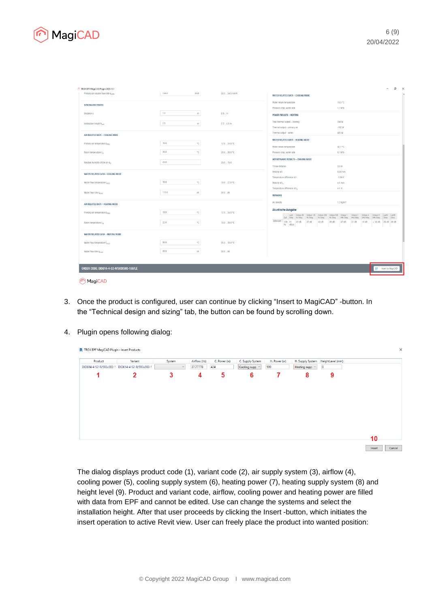

| 13b.U<br>Primary air volume flow rate q <sub>xPRI</sub><br><b>SPACING/DISTANCES</b><br>1.0<br>Distance x<br>2.5<br>Installation height hing<br>AIR RELATED DATA - COOLING MODE<br>16.0<br>Primary air temperature t <sub>PRLC</sub><br>26.0<br>Room temperature t <sub>co</sub><br>45.0<br>Relative humidity of the air $\varphi_{\rm p}$<br>WATER RELATED DATA - COOLING MODE<br>16.0<br>Water flow temperature t <sub>res.c</sub><br>110.0<br>Water flow rate Q <sub>KMG</sub><br>AIR RELATED DATA - HEATING MODE<br>18.0<br>Primary air temperature t <sub>est.h</sub><br>22.0<br>Room temperature t <sub>ch</sub> | m <sup>3</sup> /h<br>m<br>m<br>$^{\circ}$ C<br>$^{\circ}$ C<br>$^{\circ}$ C<br><b>V<sub>n</sub></b> | 58.0  249.0 m <sup>3</sup> /h<br>0.5m<br>2.24.3 m<br>$12.0 - 24.0 °C$<br>$20.0 - 28.0 °C$<br>$25.0 - 75.0$<br>$10.0 - 22.0 °C$<br>$30.0 - Uh$ | WATER RELATED DATA - COOLING MODE<br>19.5 °C<br>Water return temperature<br>1,7 kPa<br>Pressure drop, water side<br><b>POWER RESULTS - HEATING</b><br>244W<br>Total thermal output - heating<br>$-182W$<br>Thermal output - primary air<br>426W<br>Thermal output - water<br>WATER RELATED DATA - HEATING MODE<br>42.7 °C<br>Water return temperature<br>$0.1$ kPa<br>Pressure drop, water side<br>AERODYNAMIC RESULTS - COOLING MODE<br>3.5 <sub>m</sub><br>Throw distance<br>0,84 m/s<br>Velocity at I<br>$-1.94K$<br>Temperature difference at I<br>n.V. m/s<br>Velocity at L<br>n.V.K<br>Temperature difference at I <sub>s</sub><br><b>REMARKS</b> |  |
|-----------------------------------------------------------------------------------------------------------------------------------------------------------------------------------------------------------------------------------------------------------------------------------------------------------------------------------------------------------------------------------------------------------------------------------------------------------------------------------------------------------------------------------------------------------------------------------------------------------------------|-----------------------------------------------------------------------------------------------------|-----------------------------------------------------------------------------------------------------------------------------------------------|---------------------------------------------------------------------------------------------------------------------------------------------------------------------------------------------------------------------------------------------------------------------------------------------------------------------------------------------------------------------------------------------------------------------------------------------------------------------------------------------------------------------------------------------------------------------------------------------------------------------------------------------------------|--|
|                                                                                                                                                                                                                                                                                                                                                                                                                                                                                                                                                                                                                       |                                                                                                     |                                                                                                                                               |                                                                                                                                                                                                                                                                                                                                                                                                                                                                                                                                                                                                                                                         |  |
|                                                                                                                                                                                                                                                                                                                                                                                                                                                                                                                                                                                                                       |                                                                                                     |                                                                                                                                               |                                                                                                                                                                                                                                                                                                                                                                                                                                                                                                                                                                                                                                                         |  |
|                                                                                                                                                                                                                                                                                                                                                                                                                                                                                                                                                                                                                       |                                                                                                     |                                                                                                                                               |                                                                                                                                                                                                                                                                                                                                                                                                                                                                                                                                                                                                                                                         |  |
|                                                                                                                                                                                                                                                                                                                                                                                                                                                                                                                                                                                                                       |                                                                                                     |                                                                                                                                               |                                                                                                                                                                                                                                                                                                                                                                                                                                                                                                                                                                                                                                                         |  |
|                                                                                                                                                                                                                                                                                                                                                                                                                                                                                                                                                                                                                       |                                                                                                     |                                                                                                                                               |                                                                                                                                                                                                                                                                                                                                                                                                                                                                                                                                                                                                                                                         |  |
|                                                                                                                                                                                                                                                                                                                                                                                                                                                                                                                                                                                                                       |                                                                                                     |                                                                                                                                               |                                                                                                                                                                                                                                                                                                                                                                                                                                                                                                                                                                                                                                                         |  |
|                                                                                                                                                                                                                                                                                                                                                                                                                                                                                                                                                                                                                       |                                                                                                     |                                                                                                                                               |                                                                                                                                                                                                                                                                                                                                                                                                                                                                                                                                                                                                                                                         |  |
|                                                                                                                                                                                                                                                                                                                                                                                                                                                                                                                                                                                                                       |                                                                                                     |                                                                                                                                               |                                                                                                                                                                                                                                                                                                                                                                                                                                                                                                                                                                                                                                                         |  |
|                                                                                                                                                                                                                                                                                                                                                                                                                                                                                                                                                                                                                       |                                                                                                     |                                                                                                                                               |                                                                                                                                                                                                                                                                                                                                                                                                                                                                                                                                                                                                                                                         |  |
|                                                                                                                                                                                                                                                                                                                                                                                                                                                                                                                                                                                                                       |                                                                                                     |                                                                                                                                               |                                                                                                                                                                                                                                                                                                                                                                                                                                                                                                                                                                                                                                                         |  |
|                                                                                                                                                                                                                                                                                                                                                                                                                                                                                                                                                                                                                       |                                                                                                     |                                                                                                                                               |                                                                                                                                                                                                                                                                                                                                                                                                                                                                                                                                                                                                                                                         |  |
|                                                                                                                                                                                                                                                                                                                                                                                                                                                                                                                                                                                                                       |                                                                                                     |                                                                                                                                               |                                                                                                                                                                                                                                                                                                                                                                                                                                                                                                                                                                                                                                                         |  |
|                                                                                                                                                                                                                                                                                                                                                                                                                                                                                                                                                                                                                       |                                                                                                     |                                                                                                                                               |                                                                                                                                                                                                                                                                                                                                                                                                                                                                                                                                                                                                                                                         |  |
|                                                                                                                                                                                                                                                                                                                                                                                                                                                                                                                                                                                                                       |                                                                                                     |                                                                                                                                               |                                                                                                                                                                                                                                                                                                                                                                                                                                                                                                                                                                                                                                                         |  |
|                                                                                                                                                                                                                                                                                                                                                                                                                                                                                                                                                                                                                       |                                                                                                     |                                                                                                                                               |                                                                                                                                                                                                                                                                                                                                                                                                                                                                                                                                                                                                                                                         |  |
|                                                                                                                                                                                                                                                                                                                                                                                                                                                                                                                                                                                                                       |                                                                                                     |                                                                                                                                               |                                                                                                                                                                                                                                                                                                                                                                                                                                                                                                                                                                                                                                                         |  |
|                                                                                                                                                                                                                                                                                                                                                                                                                                                                                                                                                                                                                       |                                                                                                     |                                                                                                                                               | 1,2 kg/m <sup>3</sup><br>Air density                                                                                                                                                                                                                                                                                                                                                                                                                                                                                                                                                                                                                    |  |
|                                                                                                                                                                                                                                                                                                                                                                                                                                                                                                                                                                                                                       |                                                                                                     |                                                                                                                                               |                                                                                                                                                                                                                                                                                                                                                                                                                                                                                                                                                                                                                                                         |  |
|                                                                                                                                                                                                                                                                                                                                                                                                                                                                                                                                                                                                                       | $^{\circ}$ C                                                                                        | $12.0 - 24.0 °C$                                                                                                                              | Akustische Ausgabe<br>LwA Octave 63 Octave 125 Octave 250 Octave 500 Octave 1 Octave 2 Octave 4 Octave 8 LwNC LwNR                                                                                                                                                                                                                                                                                                                                                                                                                                                                                                                                      |  |
|                                                                                                                                                                                                                                                                                                                                                                                                                                                                                                                                                                                                                       |                                                                                                     |                                                                                                                                               | Apt Odeg Hz Odeg Hz Odeg<br>Hz Odeg<br>Hz Odeg<br>kHz Odeg kHz Odeg<br>kHz Odeg kHz Odeg Odeg Odeg<br>Active part   120   41   32 0B<br>37 dB<br>40 dB<br>39 dB<br>37 dB<br>31 dB<br>18 dB<br>$< 15$ dB 36 dB 38 dB                                                                                                                                                                                                                                                                                                                                                                                                                                     |  |
|                                                                                                                                                                                                                                                                                                                                                                                                                                                                                                                                                                                                                       | $^{\circ}$ C                                                                                        | $18.0 - 28.0 °C$                                                                                                                              | Pa dB(A)                                                                                                                                                                                                                                                                                                                                                                                                                                                                                                                                                                                                                                                |  |
| WATER RELATED DATA - HEATING MODE                                                                                                                                                                                                                                                                                                                                                                                                                                                                                                                                                                                     |                                                                                                     |                                                                                                                                               |                                                                                                                                                                                                                                                                                                                                                                                                                                                                                                                                                                                                                                                         |  |
| 50.0<br>Water flow temperature t <sub>ecs/h</sub>                                                                                                                                                                                                                                                                                                                                                                                                                                                                                                                                                                     | $^{\circ}$ C                                                                                        | 26.0.70.0 °C                                                                                                                                  |                                                                                                                                                                                                                                                                                                                                                                                                                                                                                                                                                                                                                                                         |  |
| 50.0<br>Water flow rate q <sub>routh</sub>                                                                                                                                                                                                                                                                                                                                                                                                                                                                                                                                                                            | <b>V<sub>n</sub></b>                                                                                | $30.0 - Uh$                                                                                                                                   |                                                                                                                                                                                                                                                                                                                                                                                                                                                                                                                                                                                                                                                         |  |
|                                                                                                                                                                                                                                                                                                                                                                                                                                                                                                                                                                                                                       |                                                                                                     |                                                                                                                                               |                                                                                                                                                                                                                                                                                                                                                                                                                                                                                                                                                                                                                                                         |  |
|                                                                                                                                                                                                                                                                                                                                                                                                                                                                                                                                                                                                                       |                                                                                                     |                                                                                                                                               |                                                                                                                                                                                                                                                                                                                                                                                                                                                                                                                                                                                                                                                         |  |
| ORDER CODE: DID614-4-S2-R/593X593-158/LE                                                                                                                                                                                                                                                                                                                                                                                                                                                                                                                                                                              |                                                                                                     |                                                                                                                                               | BR Insert to MagiCAD                                                                                                                                                                                                                                                                                                                                                                                                                                                                                                                                                                                                                                    |  |

- MagiCAD
- 3. Once the product is configured, user can continue by clicking "Insert to MagiCAD" -button. In the "Technical design and sizing" tab, the button can be found by scrolling down.
- 4. Plugin opens following dialog:

| Product | Variant                                         | System | Airflow (I/s) | C. Power (w) | C. Supply System | H. Power (w) |                     | H. Supply System HeightLevel (mm) |    |
|---------|-------------------------------------------------|--------|---------------|--------------|------------------|--------------|---------------------|-----------------------------------|----|
|         | DID614-4-S2-R/593x593-1 DID614-4-S2-R/593x593-1 | $\sim$ | 37.77778      | 424          | Cooling supp     | 199          | Heating supp $\sim$ | $\circ$                           |    |
|         | $\mathbf{2}$                                    | 3      | 4             | 5            | 6                | 7            | 8                   | 9                                 |    |
|         |                                                 |        |               |              |                  |              |                     |                                   |    |
|         |                                                 |        |               |              |                  |              |                     |                                   |    |
|         |                                                 |        |               |              |                  |              |                     |                                   |    |
|         |                                                 |        |               |              |                  |              |                     |                                   |    |
|         |                                                 |        |               |              |                  |              |                     |                                   |    |
|         |                                                 |        |               |              |                  |              |                     |                                   | 10 |

The dialog displays product code (1), variant code (2), air supply system (3), airflow (4), cooling power (5), cooling supply system (6), heating power (7), heating supply system (8) and height level (9). Product and variant code, airflow, cooling power and heating power are filled with data from EPF and cannot be edited. Use can change the systems and select the installation height. After that user proceeds by clicking the Insert -button, which initiates the insert operation to active Revit view. User can freely place the product into wanted position: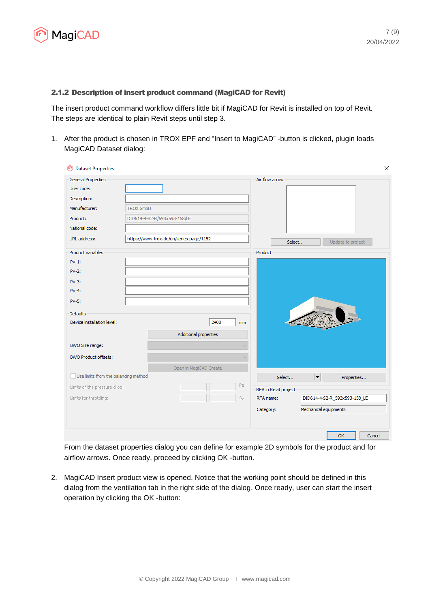

#### 2.1.2 Description of insert product command (MagiCAD for Revit)

The insert product command workflow differs little bit if MagiCAD for Revit is installed on top of Revit. The steps are identical to plain Revit steps until step 3.

1. After the product is chosen in TROX EPF and "Insert to MagiCAD" -button is clicked, plugin loads MagiCAD Dataset dialog:

| <b>Dataset Properties</b><br>m       | ×                                                                      |
|--------------------------------------|------------------------------------------------------------------------|
| <b>General Properties</b>            | Air flow arrow                                                         |
| User code:                           |                                                                        |
| Description:                         |                                                                        |
| Manufacturer:                        | <b>TROX GmbH</b>                                                       |
| Product:                             | DID614-4-S2-R/593x593-158/LE                                           |
| National code:                       |                                                                        |
| URL address:                         | https://www.trox.de/en/series-page/1152<br>Select<br>Update to project |
| Product variables                    | Product                                                                |
| $Pv-1$ :                             |                                                                        |
| $Pv-2$ :                             |                                                                        |
| $Pv-3$ :                             |                                                                        |
| $Pv-4$ :                             |                                                                        |
| $Pv-5$ :                             |                                                                        |
| Defaults                             |                                                                        |
| Device installation level:           | 2400<br>mm                                                             |
|                                      | Additional properties                                                  |
| BWO Size range:                      |                                                                        |
| <b>BWO Product offsets:</b>          |                                                                        |
|                                      | Open in MagiCAD Create                                                 |
| Use limits from the balancing method | $ \mathbf{v} $<br>Select<br>Properties                                 |
| Limits of the pressure drop:         | Pa<br>RFA in Revit project                                             |
| Limits for throttling:               | $\%$<br>RFA name:<br>DID614-4-S2-R_593x593-158_LE                      |
|                                      | Mechanical equipments<br>Category:                                     |
|                                      |                                                                        |
|                                      | <b>OK</b><br>Cancel                                                    |

From the dataset properties dialog you can define for example 2D symbols for the product and for airflow arrows. Once ready, proceed by clicking OK -button.

2. MagiCAD Insert product view is opened. Notice that the working point should be defined in this dialog from the ventilation tab in the right side of the dialog. Once ready, user can start the insert operation by clicking the OK -button: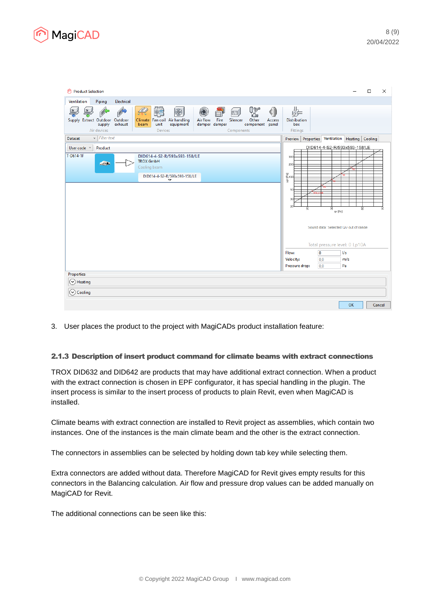

| Product Selection                                                                                                                                                                                                                                                                                                                       | $\times$<br>$\Box$                                                                                                                                |
|-----------------------------------------------------------------------------------------------------------------------------------------------------------------------------------------------------------------------------------------------------------------------------------------------------------------------------------------|---------------------------------------------------------------------------------------------------------------------------------------------------|
| Ventilation<br>Piping<br>Electrical                                                                                                                                                                                                                                                                                                     |                                                                                                                                                   |
| 鳕<br>0∑<br>La<br>$\mathscr{L}$<br>$\bigcirc$<br>$\bigcircledast$<br>C<br>[四]<br>Air flow<br>Fire<br>Supply Extract Outdoor Outdoor<br>Climate Fan coil Air handling<br>Silencer<br>Other<br>Access<br>equipment<br>exhaust<br>unit<br>damper damper<br>supply<br>component panel<br>beam<br>Air devices<br><b>Devices</b><br>Components | 娱<br><b>Distribution</b><br>box<br>Fittings                                                                                                       |
| $\vee$ Filter text<br><b>Dataset</b>                                                                                                                                                                                                                                                                                                    | Properties Ventilation Heating Cooling<br>Preview                                                                                                 |
| Product<br>User code v<br>T-D614-1F<br>DID614-4-S2-R/593x593-158/LE<br><b>TROX GmbH</b><br><b>Address</b><br>Cooling beam<br>DID614-4-S2-R/593x593-158/LE<br>▽                                                                                                                                                                          | DID614-4-S2-R/593x593-158/LE<br>300<br>200<br>음<br>동100<br>중<br>50<br>30<br>20<br>g<br>g<br>읆<br>qv [I/s]<br>Sound data: Selected Qv out of range |
|                                                                                                                                                                                                                                                                                                                                         | Total pressure level: 0 Lp10A<br>$\overline{0}$<br>Flow:<br>1/s<br>Velocity:<br> 0,0<br>m/s<br>Pressure drop:<br>Pa<br>0,0                        |
| Properties                                                                                                                                                                                                                                                                                                                              |                                                                                                                                                   |
| Heating<br>v                                                                                                                                                                                                                                                                                                                            |                                                                                                                                                   |
| Cooling<br>$(\checkmark)$                                                                                                                                                                                                                                                                                                               |                                                                                                                                                   |
|                                                                                                                                                                                                                                                                                                                                         | OK<br>Cancel                                                                                                                                      |

3. User places the product to the project with MagiCADs product installation feature:

#### 2.1.3 Description of insert product command for climate beams with extract connections

TROX DID632 and DID642 are products that may have additional extract connection. When a product with the extract connection is chosen in EPF configurator, it has special handling in the plugin. The insert process is similar to the insert process of products to plain Revit, even when MagiCAD is installed.

Climate beams with extract connection are installed to Revit project as assemblies, which contain two instances. One of the instances is the main climate beam and the other is the extract connection.

The connectors in assemblies can be selected by holding down tab key while selecting them.

Extra connectors are added without data. Therefore MagiCAD for Revit gives empty results for this connectors in the Balancing calculation. Air flow and pressure drop values can be added manually on MagiCAD for Revit.

The additional connections can be seen like this: